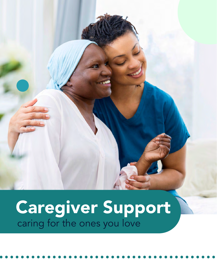## Caregiver Support caring for the ones you love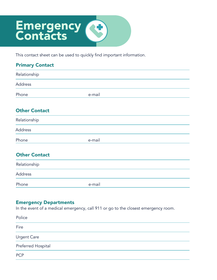## **Emergency Contacts**

This contact sheet can be used to quickly find important information.

| <b>Primary Contact</b> |        |  |
|------------------------|--------|--|
| Relationship           |        |  |
| Address                |        |  |
| Phone                  | e-mail |  |
| <b>Other Contact</b>   |        |  |
| Relationship           |        |  |
| Address                |        |  |
| Phone                  | e-mail |  |
| <b>Other Contact</b>   |        |  |
| Relationship           |        |  |
| Address                |        |  |
| Phone                  | e-mail |  |

#### Emergency Departments

In the event of a medical emergency, call 911 or go to the closest emergency room.

| Police             |  |
|--------------------|--|
| Fire               |  |
| <b>Urgent Care</b> |  |
| Preferred Hospital |  |
| <b>PCP</b>         |  |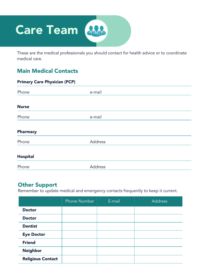# **Care Team**

These are the medical professionals you should contact for health advice or to coordinate medical care.

### Main Medical Contacts

| <b>Primary Care Physician (PCP)</b> |         |  |  |
|-------------------------------------|---------|--|--|
| Phone                               | e-mail  |  |  |
|                                     |         |  |  |
| <b>Nurse</b>                        |         |  |  |
| Phone                               | e-mail  |  |  |
|                                     |         |  |  |
| Pharmacy                            |         |  |  |
| Phone                               | Address |  |  |
|                                     |         |  |  |
| <b>Hospital</b>                     |         |  |  |
| Phone                               | Address |  |  |

### Other Support

Remember to update medical and emergency contacts frequently to keep it current.

|                          | <b>Phone Number</b> | E-mail | <b>Address</b> |
|--------------------------|---------------------|--------|----------------|
| <b>Doctor</b>            |                     |        |                |
| <b>Doctor</b>            |                     |        |                |
| <b>Dentist</b>           |                     |        |                |
| <b>Eye Doctor</b>        |                     |        |                |
| <b>Friend</b>            |                     |        |                |
| <b>Neighbor</b>          |                     |        |                |
| <b>Religious Contact</b> |                     |        |                |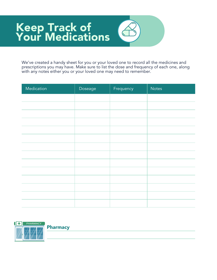### Keep Track of Your Medications

We've created a handy sheet for you or your loved one to record all the medicines and prescriptions you may have. Make sure to list the dose and frequency of each one, along with any notes either you or your loved one may need to remember.

| Medication | Doseage | Frequency | <b>Notes</b> |
|------------|---------|-----------|--------------|
|            |         |           |              |
|            |         |           |              |
|            |         |           |              |
|            |         |           |              |
|            |         |           |              |
|            |         |           |              |
|            |         |           |              |
|            |         |           |              |
|            |         |           |              |
|            |         |           |              |
|            |         |           |              |
|            |         |           |              |
|            |         |           |              |
|            |         |           |              |



Pharmacy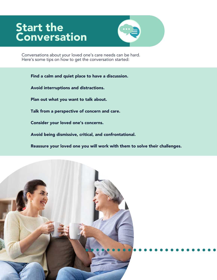### Start the **Conversation**



Conversations about your loved one's care needs can be hard. Here's some tips on how to get the conversation started:

Find a calm and quiet place to have a discussion. Avoid interruptions and distractions. Plan out what you want to talk about. Talk from a perspective of concern and care. Consider your loved one's concerns. Avoid being dismissive, critical, and confrontational.

Reassure your loved one you will work with them to solve their challenges.

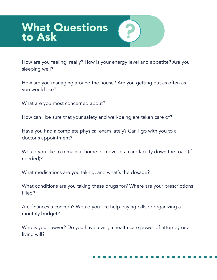### What Questions to Ask

How are you feeling, really? How is your energy level and appetite? Are you sleeping well?

How are you managing around the house? Are you getting out as often as you would like?

What are you most concerned about?

How can I be sure that your safety and well-being are taken care of?

Have you had a complete physical exam lately? Can I go with you to a doctor's appointment?

Would you like to remain at home or move to a care facility down the road (if needed)?

What medications are you taking, and what's the dosage?

What conditions are you taking these drugs for? Where are your prescriptions filled?

Are finances a concern? Would you like help paying bills or organizing a monthly budget?

Who is your lawyer? Do you have a will, a health care power of attorney or a living will?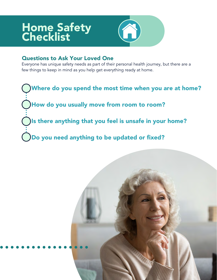### Home Safety **Checklist**



### Questions to Ask Your Loved One

Everyone has unique safety needs as part of their personal health journey, but there are a few things to keep in mind as you help get everything ready at home.

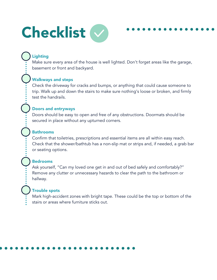

### Lighting

Make sure every area of the house is well lighted. Don't forget areas like the garage, basement or front and backyard.

#### Walkways and steps

Check the driveway for cracks and bumps, or anything that could cause someone to trip. Walk up and down the stairs to make sure nothing's loose or broken, and firmly test the handrails.

#### Doors and entryways

Doors should be easy to open and free of any obstructions. Doormats should be secured in place without any upturned corners.

#### Bathrooms

Confirm that toiletries, prescriptions and essential items are all within easy reach. Check that the shower/bathtub has a non-slip mat or strips and, if needed, a grab bar or seating options.

#### Bedrooms

Ask yourself, "Can my loved one get in and out of bed safely and comfortably?" Remove any clutter or unnecessary hazards to clear the path to the bathroom or hallway.

#### Trouble spots

Mark high-accident zones with bright tape. These could be the top or bottom of the stairs or areas where furniture sticks out.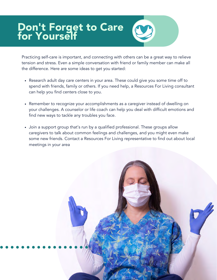### Don't Forget to Care for Yourself

Practicing self-care is important, and connecting with others can be a great way to relieve tension and stress. Even a simple conversation with friend or family member can make all the difference. Here are some ideas to get you started:

- Research adult day care centers in your area. These could give you some time off to spend with friends, family or others. If you need help, a Resources For Living consultant can help you find centers close to you.
- Remember to recognize your accomplishments as a caregiver instead of dwelling on your challenges. A counselor or life coach can help you deal with difficult emotions and find new ways to tackle any troubles you face.
- Join a support group that's run by a qualified professional. These groups allow caregivers to talk about common feelings and challenges, and you might even make some new friends. Contact a Resources For Living representative to find out about local meetings in your area